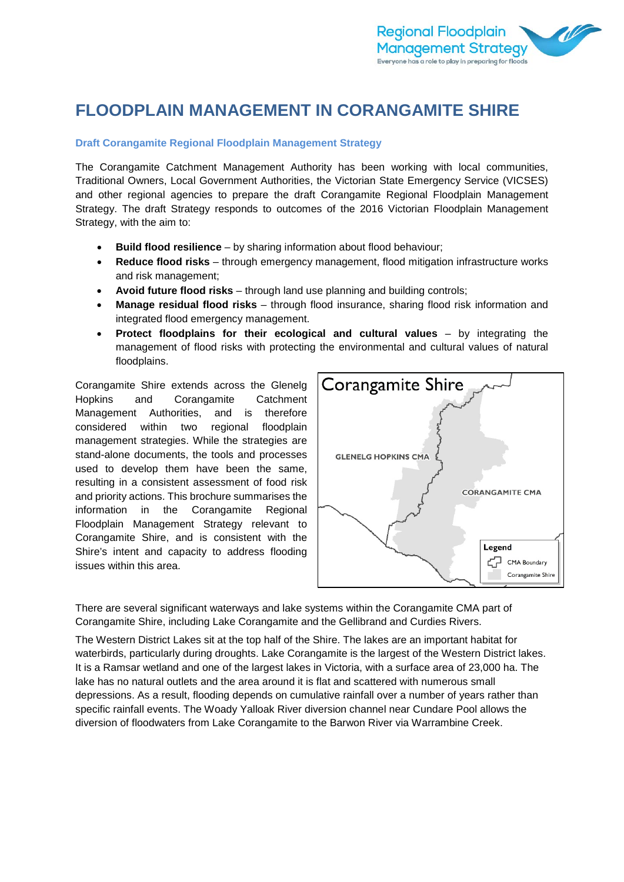

# **FLOODPLAIN MANAGEMENT IN CORANGAMITE SHIRE**

# **Draft Corangamite Regional Floodplain Management Strategy**

The Corangamite Catchment Management Authority has been working with local communities, Traditional Owners, Local Government Authorities, the Victorian State Emergency Service (VICSES) and other regional agencies to prepare the draft Corangamite Regional Floodplain Management Strategy. The draft Strategy responds to outcomes of the 2016 Victorian Floodplain Management Strategy, with the aim to:

- **Build flood resilience** by sharing information about flood behaviour;
- **Reduce flood risks** through emergency management, flood mitigation infrastructure works and risk management;
- **Avoid future flood risks** through land use planning and building controls;
- **Manage residual flood risks** through flood insurance, sharing flood risk information and integrated flood emergency management.
- **Protect floodplains for their ecological and cultural values**  by integrating the management of flood risks with protecting the environmental and cultural values of natural floodplains.

Corangamite Shire extends across the Glenelg Hopkins and Corangamite Catchment Management Authorities, and is therefore considered within two regional floodplain management strategies. While the strategies are stand-alone documents, the tools and processes used to develop them have been the same, resulting in a consistent assessment of food risk and priority actions. This brochure summarises the information in the Corangamite Regional Floodplain Management Strategy relevant to Corangamite Shire, and is consistent with the Shire's intent and capacity to address flooding issues within this area.



There are several significant waterways and lake systems within the Corangamite CMA part of Corangamite Shire, including Lake Corangamite and the Gellibrand and Curdies Rivers.

The Western District Lakes sit at the top half of the Shire. The lakes are an important habitat for waterbirds, particularly during droughts. Lake Corangamite is the largest of the Western District lakes. It is a Ramsar wetland and one of the largest lakes in Victoria, with a surface area of 23,000 ha. The lake has no natural outlets and the area around it is flat and scattered with numerous small depressions. As a result, flooding depends on cumulative rainfall over a number of years rather than specific rainfall events. The Woady Yalloak River diversion channel near Cundare Pool allows the diversion of floodwaters from Lake Corangamite to the Barwon River via Warrambine Creek.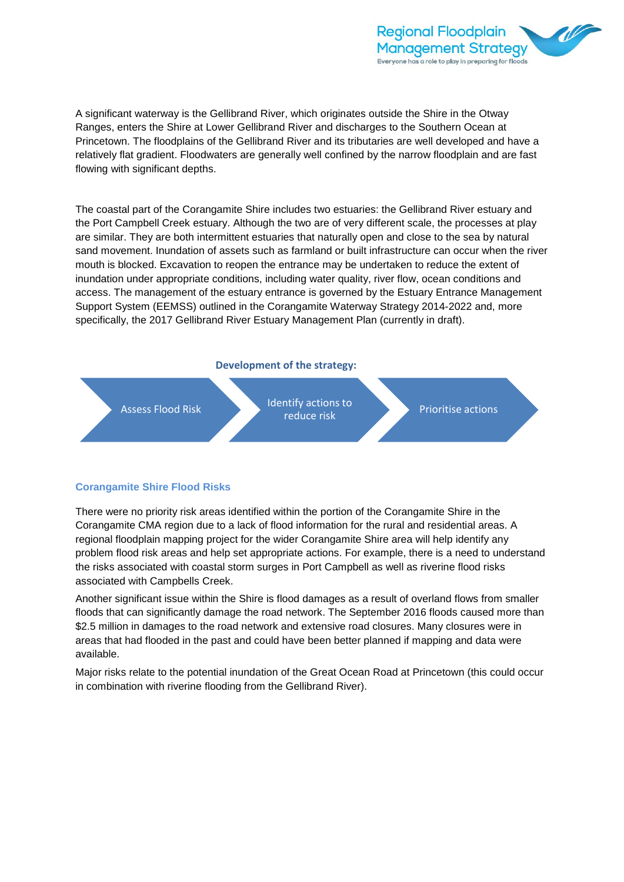

A significant waterway is the Gellibrand River, which originates outside the Shire in the Otway Ranges, enters the Shire at Lower Gellibrand River and discharges to the Southern Ocean at Princetown. The floodplains of the Gellibrand River and its tributaries are well developed and have a relatively flat gradient. Floodwaters are generally well confined by the narrow floodplain and are fast flowing with significant depths.

The coastal part of the Corangamite Shire includes two estuaries: the Gellibrand River estuary and the Port Campbell Creek estuary. Although the two are of very different scale, the processes at play are similar. They are both intermittent estuaries that naturally open and close to the sea by natural sand movement. Inundation of assets such as farmland or built infrastructure can occur when the river mouth is blocked. Excavation to reopen the entrance may be undertaken to reduce the extent of inundation under appropriate conditions, including water quality, river flow, ocean conditions and access. The management of the estuary entrance is governed by the Estuary Entrance Management Support System (EEMSS) outlined in the Corangamite Waterway Strategy 2014-2022 and, more specifically, the 2017 Gellibrand River Estuary Management Plan (currently in draft).





## **Corangamite Shire Flood Risks**

There were no priority risk areas identified within the portion of the Corangamite Shire in the Corangamite CMA region due to a lack of flood information for the rural and residential areas. A regional floodplain mapping project for the wider Corangamite Shire area will help identify any problem flood risk areas and help set appropriate actions. For example, there is a need to understand the risks associated with coastal storm surges in Port Campbell as well as riverine flood risks associated with Campbells Creek.

Another significant issue within the Shire is flood damages as a result of overland flows from smaller floods that can significantly damage the road network. The September 2016 floods caused more than \$2.5 million in damages to the road network and extensive road closures. Many closures were in areas that had flooded in the past and could have been better planned if mapping and data were available.

Major risks relate to the potential inundation of the Great Ocean Road at Princetown (this could occur in combination with riverine flooding from the Gellibrand River).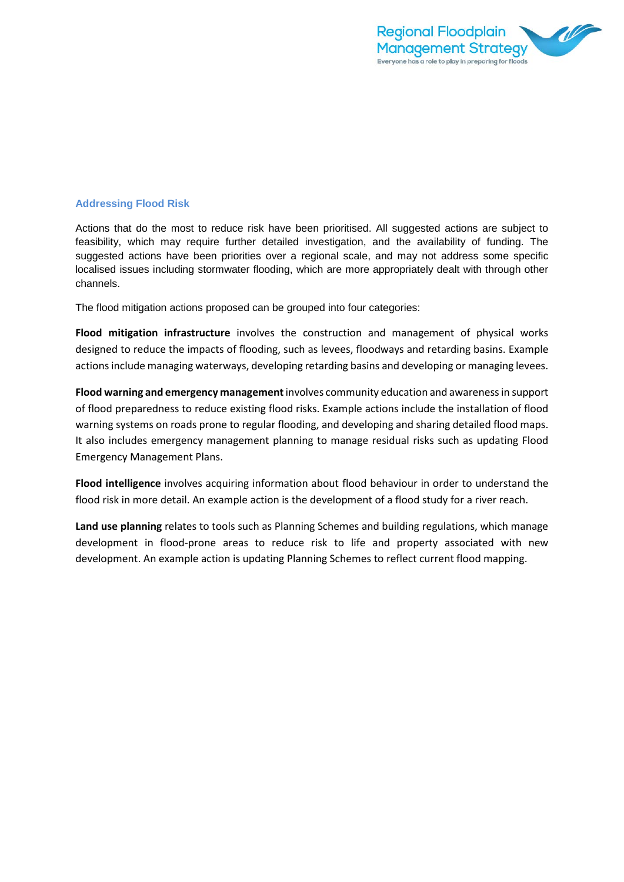

#### **Addressing Flood Risk**

Actions that do the most to reduce risk have been prioritised. All suggested actions are subject to feasibility, which may require further detailed investigation, and the availability of funding. The suggested actions have been priorities over a regional scale, and may not address some specific localised issues including stormwater flooding, which are more appropriately dealt with through other channels.

The flood mitigation actions proposed can be grouped into four categories:

**Flood mitigation infrastructure** involves the construction and management of physical works designed to reduce the impacts of flooding, such as levees, floodways and retarding basins. Example actions include managing waterways, developing retarding basins and developing or managing levees.

**Flood warning and emergency management**involves community education and awareness in support of flood preparedness to reduce existing flood risks. Example actions include the installation of flood warning systems on roads prone to regular flooding, and developing and sharing detailed flood maps. It also includes emergency management planning to manage residual risks such as updating Flood Emergency Management Plans.

**Flood intelligence** involves acquiring information about flood behaviour in order to understand the flood risk in more detail. An example action is the development of a flood study for a river reach.

**Land use planning** relates to tools such as Planning Schemes and building regulations, which manage development in flood-prone areas to reduce risk to life and property associated with new development. An example action is updating Planning Schemes to reflect current flood mapping.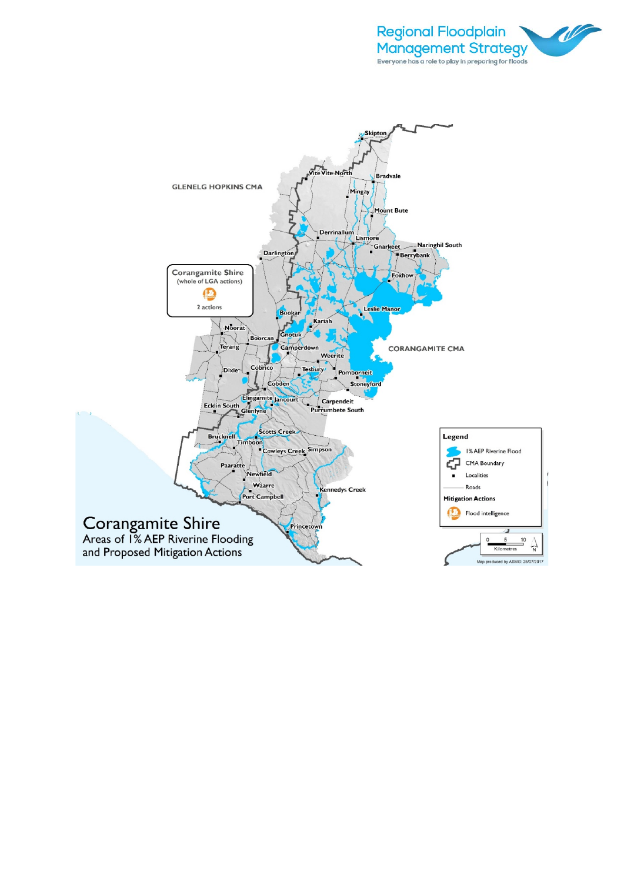